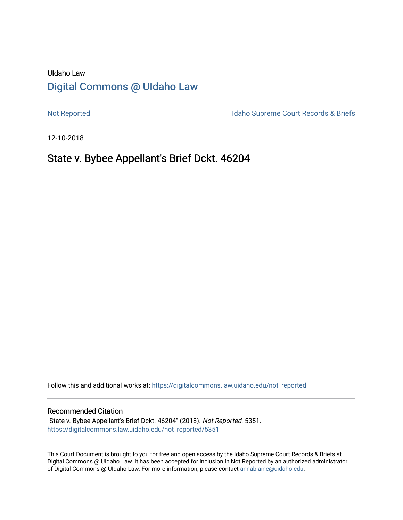# UIdaho Law [Digital Commons @ UIdaho Law](https://digitalcommons.law.uidaho.edu/)

[Not Reported](https://digitalcommons.law.uidaho.edu/not_reported) **Idaho Supreme Court Records & Briefs** 

12-10-2018

# State v. Bybee Appellant's Brief Dckt. 46204

Follow this and additional works at: [https://digitalcommons.law.uidaho.edu/not\\_reported](https://digitalcommons.law.uidaho.edu/not_reported?utm_source=digitalcommons.law.uidaho.edu%2Fnot_reported%2F5351&utm_medium=PDF&utm_campaign=PDFCoverPages) 

#### Recommended Citation

"State v. Bybee Appellant's Brief Dckt. 46204" (2018). Not Reported. 5351. [https://digitalcommons.law.uidaho.edu/not\\_reported/5351](https://digitalcommons.law.uidaho.edu/not_reported/5351?utm_source=digitalcommons.law.uidaho.edu%2Fnot_reported%2F5351&utm_medium=PDF&utm_campaign=PDFCoverPages)

This Court Document is brought to you for free and open access by the Idaho Supreme Court Records & Briefs at Digital Commons @ UIdaho Law. It has been accepted for inclusion in Not Reported by an authorized administrator of Digital Commons @ UIdaho Law. For more information, please contact [annablaine@uidaho.edu](mailto:annablaine@uidaho.edu).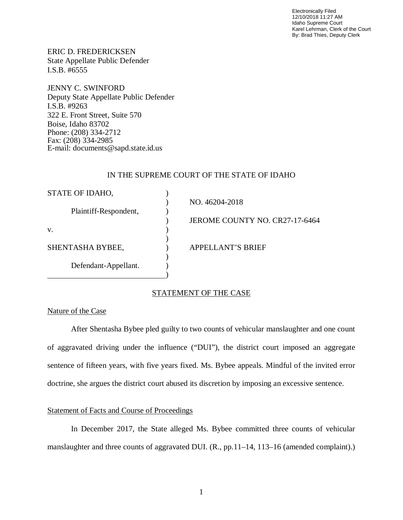Electronically Filed 12/10/2018 11:27 AM Idaho Supreme Court Karel Lehrman, Clerk of the Court By: Brad Thies, Deputy Clerk

ERIC D. FREDERICKSEN State Appellate Public Defender I.S.B. #6555

JENNY C. SWINFORD Deputy State Appellate Public Defender I.S.B. #9263 322 E. Front Street, Suite 570 Boise, Idaho 83702 Phone: (208) 334-2712 Fax: (208) 334-2985 E-mail: documents@sapd.state.id.us

#### IN THE SUPREME COURT OF THE STATE OF IDAHO

| STATE OF IDAHO,       |                                |
|-----------------------|--------------------------------|
|                       | NO. 46204-2018                 |
| Plaintiff-Respondent, |                                |
|                       | JEROME COUNTY NO. CR27-17-6464 |
| V.                    |                                |
|                       |                                |
| SHENTASHA BYBEE,      | <b>APPELLANT'S BRIEF</b>       |
|                       |                                |
| Defendant-Appellant.  |                                |
|                       |                                |

#### STATEMENT OF THE CASE

#### Nature of the Case

After Shentasha Bybee pled guilty to two counts of vehicular manslaughter and one count of aggravated driving under the influence ("DUI"), the district court imposed an aggregate sentence of fifteen years, with five years fixed. Ms. Bybee appeals. Mindful of the invited error doctrine, she argues the district court abused its discretion by imposing an excessive sentence.

## Statement of Facts and Course of Proceedings

In December 2017, the State alleged Ms. Bybee committed three counts of vehicular manslaughter and three counts of aggravated DUI. (R., pp.11–14, 113–16 (amended complaint).)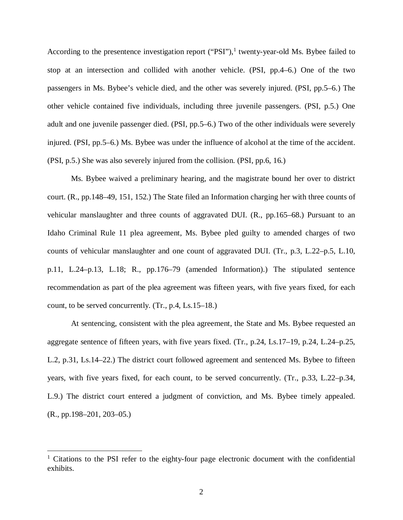According to the presentence investigation report  $("PSI")$ , twenty-year-old Ms. Bybee failed to stop at an intersection and collided with another vehicle. (PSI, pp.4–6.) One of the two passengers in Ms. Bybee's vehicle died, and the other was severely injured. (PSI, pp.5–6.) The other vehicle contained five individuals, including three juvenile passengers. (PSI, p.5.) One adult and one juvenile passenger died. (PSI, pp.5–6.) Two of the other individuals were severely injured. (PSI, pp.5–6.) Ms. Bybee was under the influence of alcohol at the time of the accident. (PSI, p.5.) She was also severely injured from the collision. (PSI, pp.6, 16.)

Ms. Bybee waived a preliminary hearing, and the magistrate bound her over to district court. (R., pp.148–49, 151, 152.) The State filed an Information charging her with three counts of vehicular manslaughter and three counts of aggravated DUI. (R., pp.165–68.) Pursuant to an Idaho Criminal Rule 11 plea agreement, Ms. Bybee pled guilty to amended charges of two counts of vehicular manslaughter and one count of aggravated DUI. (Tr., p.3, L.22–p.5, L.10, p.11, L.24–p.13, L.18; R., pp.176–79 (amended Information).) The stipulated sentence recommendation as part of the plea agreement was fifteen years, with five years fixed, for each count, to be served concurrently. (Tr., p.4, Ls.15–18.)

At sentencing, consistent with the plea agreement, the State and Ms. Bybee requested an aggregate sentence of fifteen years, with five years fixed. (Tr., p.24, Ls.17–19, p.24, L.24–p.25, L.2, p.31, Ls.14–22.) The district court followed agreement and sentenced Ms. Bybee to fifteen years, with five years fixed, for each count, to be served concurrently. (Tr., p.33, L.22–p.34, L.9.) The district court entered a judgment of conviction, and Ms. Bybee timely appealed. (R., pp.198–201, 203–05.)

<span id="page-2-0"></span><sup>&</sup>lt;sup>1</sup> Citations to the PSI refer to the eighty-four page electronic document with the confidential exhibits.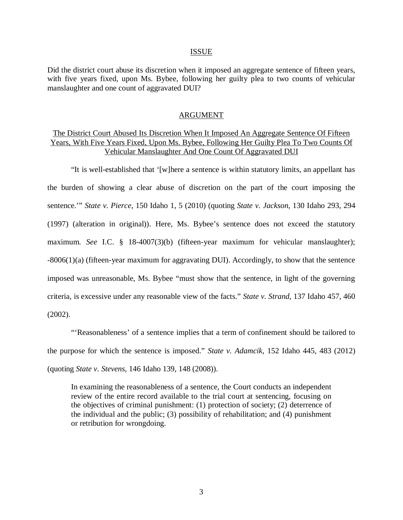#### ISSUE

Did the district court abuse its discretion when it imposed an aggregate sentence of fifteen years, with five years fixed, upon Ms. Bybee, following her guilty plea to two counts of vehicular manslaughter and one count of aggravated DUI?

#### ARGUMENT

# The District Court Abused Its Discretion When It Imposed An Aggregate Sentence Of Fifteen Years, With Five Years Fixed, Upon Ms. Bybee, Following Her Guilty Plea To Two Counts Of Vehicular Manslaughter And One Count Of Aggravated DUI

"It is well-established that '[w]here a sentence is within statutory limits, an appellant has the burden of showing a clear abuse of discretion on the part of the court imposing the sentence.'" *State v. Pierce*, 150 Idaho 1, 5 (2010) (quoting *State v. Jackson*, 130 Idaho 293, 294 (1997) (alteration in original)). Here, Ms. Bybee's sentence does not exceed the statutory maximum. *See* I.C. § 18-4007(3)(b) (fifteen-year maximum for vehicular manslaughter); -8006(1)(a) (fifteen-year maximum for aggravating DUI). Accordingly, to show that the sentence imposed was unreasonable, Ms. Bybee "must show that the sentence, in light of the governing criteria, is excessive under any reasonable view of the facts." *State v. Strand*, 137 Idaho 457, 460 (2002).

"'Reasonableness' of a sentence implies that a term of confinement should be tailored to the purpose for which the sentence is imposed." *State v. Adamcik*, 152 Idaho 445, 483 (2012) (quoting *State v. Stevens*, 146 Idaho 139, 148 (2008)).

In examining the reasonableness of a sentence, the Court conducts an independent review of the entire record available to the trial court at sentencing, focusing on the objectives of criminal punishment: (1) protection of society; (2) deterrence of the individual and the public; (3) possibility of rehabilitation; and (4) punishment or retribution for wrongdoing.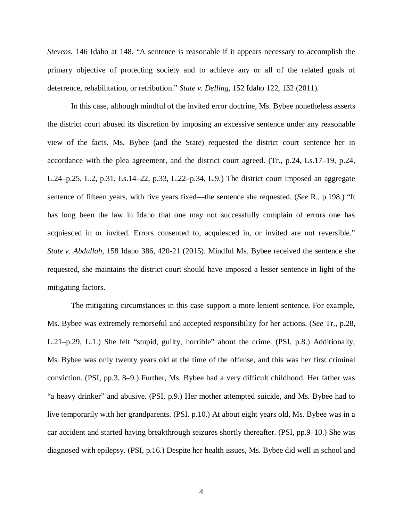*Stevens*, 146 Idaho at 148. "A sentence is reasonable if it appears necessary to accomplish the primary objective of protecting society and to achieve any or all of the related goals of deterrence, rehabilitation, or retribution." *State v. Delling*, 152 Idaho 122, 132 (2011).

In this case, although mindful of the invited error doctrine, Ms. Bybee nonetheless asserts the district court abused its discretion by imposing an excessive sentence under any reasonable view of the facts. Ms. Bybee (and the State) requested the district court sentence her in accordance with the plea agreement, and the district court agreed. (Tr., p.24, Ls.17–19, p.24, L.24–p.25, L.2, p.31, Ls.14–22, p.33, L.22–p.34, L.9.) The district court imposed an aggregate sentence of fifteen years, with five years fixed—the sentence she requested. (*See* R., p.198.) "It has long been the law in Idaho that one may not successfully complain of errors one has acquiesced in or invited. Errors consented to, acquiesced in, or invited are not reversible." *State v. Abdullah*, 158 Idaho 386, 420-21 (2015). Mindful Ms. Bybee received the sentence she requested, she maintains the district court should have imposed a lesser sentence in light of the mitigating factors.

The mitigating circumstances in this case support a more lenient sentence. For example, Ms. Bybee was extremely remorseful and accepted responsibility for her actions. (*See* Tr., p.28, L.21–p.29, L.1.) She felt "stupid, guilty, horrible" about the crime. (PSI, p.8.) Additionally, Ms. Bybee was only twenty years old at the time of the offense, and this was her first criminal conviction. (PSI, pp.3, 8–9.) Further, Ms. Bybee had a very difficult childhood. Her father was "a heavy drinker" and abusive. (PSI, p.9.) Her mother attempted suicide, and Ms. Bybee had to live temporarily with her grandparents. (PSI. p.10.) At about eight years old, Ms. Bybee was in a car accident and started having breakthrough seizures shortly thereafter. (PSI, pp.9–10.) She was diagnosed with epilepsy. (PSI, p.16.) Despite her health issues, Ms. Bybee did well in school and